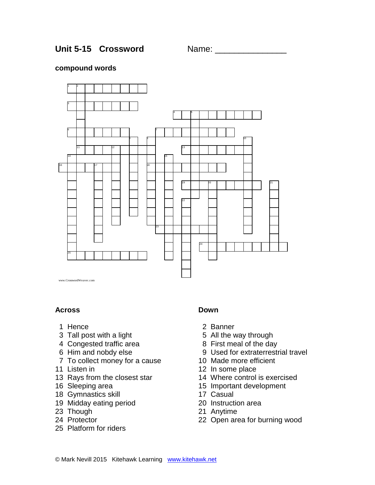Unit 5-15 Crossword Name:

#### **compound words**



## **Across**

- 1 Hence
- 3 Tall post with a light
- 4 Congested traffic area
- 6 Him and nobdy else
- 7 To collect money for a cause
- 11 Listen in
- 13 Rays from the closest star
- 16 Sleeping area
- 18 Gymnastics skill
- 19 Midday eating period
- 23 Though
- 24 Protector
- 25 Platform for riders

## **Down**

- 2 Banner
- 5 All the way through
- 8 First meal of the day
- 9 Used for extraterrestrial travel
- 10 Made more efficient
- 12 In some place
- 14 Where control is exercised
- 15 Important development
- 17 Casual
- 20 Instruction area
- 21 Anytime
- 22 Open area for burning wood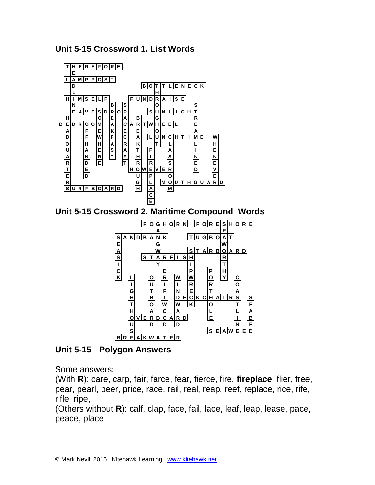



**Unit 5-15 Polygon Answers** 

Some answers:

(With **R**): care, carp, fair, farce, fear, fierce, fire, **fireplace**, flier, free, pear, pearl, peer, price, race, rail, real, reap, reef, replace, rice, rife, rifle, ripe,

(Others without **R**): calf, clap, face, fail, lace, leaf, leap, lease, pace, peace, place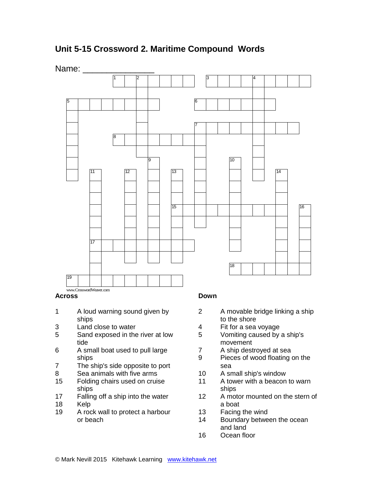**Unit 5-15 Crossword 2. Maritime Compound Words**





#### **Across**

- 1 A loud warning sound given by ships
- Land close to water
- Sand exposed in the river at low tide
- A small boat used to pull large ships
- The ship's side opposite to port
- Sea animals with five arms
- Folding chairs used on cruise ships
- Falling off a ship into the water
- Kelp
- A rock wall to protect a harbour or beach

## **Down**

- A movable bridge linking a ship to the shore
- Fit for a sea voyage
- Vomiting caused by a ship's movement
- A ship destroyed at sea
- Pieces of wood floating on the sea
- A small ship's window
- A tower with a beacon to warn ships
- A motor mounted on the stern of a boat
- Facing the wind
- Boundary between the ocean and land
- Ocean floor